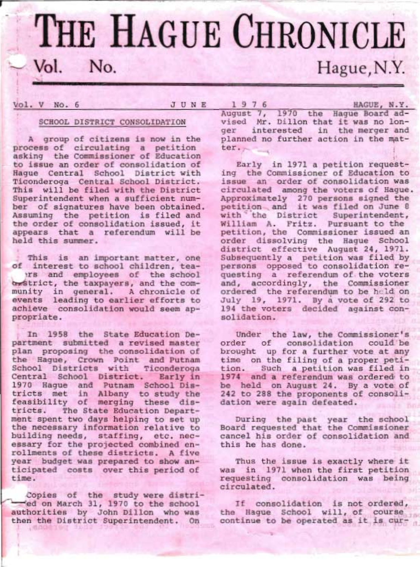# THE HAGUE CHRONICLE Vol. No. Hague, N.Y.

#### SCHOOL DISTRICT CONSOLIDATION

A group of citizens is now in the process of circulating a petition<br>asking the Commissioner of Education<br>to issue an order of consolidation of<br>Haque Central School District with Ticonderoga Central School District.<br>This will be filed with the District<br>Superintendent when a sufficient num-<br>ber of signatures have been obtained.<br>Assuming the petition is filed and<br>the order of consolidation issued, it appears that a referendum will be held this sunmer.

This is an important matter, one<br>of interest to school children, tea-<br>rs and employees of the school<br>destrict, the taxpayers, and the com-<br>munity in general. A chronicle of<br>events leading to earlier efforts to<br>achieve cons

In 1958 the State Education De-<br>partment submitted a revised master<br>plan proposing the consolidation of<br>the Hague, Crown Point and Putnam<br>School Districts with Ticonderoga<br>Central School District. Early in<br>1970 Hague and P essary for the projected combined en-<br>rollments of these districts. A five<br>year budget was prepared to show an-<br>ticipated costs over this period of<br>time.

Copies of the study were distri-<br>
-1:jed on March 31, 1970 to the school<br>
authorities by John Dillon who was<br>
then the District Superintendent. On

Vol. V No. 6 3 U N E 1 9 7 6 HAGUE, N.Y. August 7, 1970 the Hague Board ad-<br>vised Mr. Dillon that it was no lonand m.atger interested in the merger<br>planned no further action in the ter.

> Early in 1971 a petition requesting the Commissioner of Education to<br>issue an order of consolidation was<br>circulated among the voters of Hague.<br>Approximately 270 persons signed the<br>petition. . and it was filed on June 8 with the District Superintendent,<br>William A. Fritz. Pursuant to the<br>petition, the Commissioner issued an<br>order dissolving the Hague School<br>district effective August 24, 1971.<br>Subsequently a petition was filed by persons opposed to consolidation re-<br>questing a referendum of the voters<br>and, accordingly, the Commissioner<br>ordered the referendum to be held on<br>July 19, 1971. By a vote of 292 to 194 the voters decided against con-<br>solidation.

Under the law, the Commissioner's<br>order of consolidation could be<br>brought up for a further vote at any<br>time on the filing of a proper peti-<br>tion. Such a petition was filed in<br>1974 and a referendum was ordered to<br>be held on

During the past year the school<br>Board requested that the Commissioner<br>cancel his order of consolidation and<br>this he has done.

Thus the issue is exactly where it<br>was in 1971 when the first petition<br>requesting consolidation was being<br>circulated.

If consolidation is not ordered,<br>the Hague School will, of course continue to be operated as it is cur-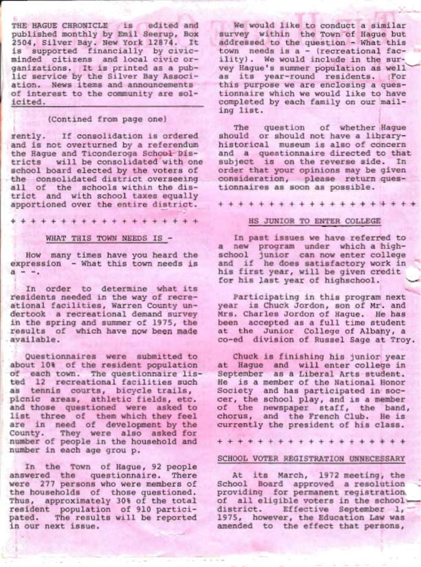THE HAGUE CHRONICLE is edited and published monthly by Emil Seerup, Box 2504, Silver Bay. New York L2874. It is supported financially by civicminded citizens and local civic organizations. It is printed as a public service by the Silver Bay Association. News items and announcements of ihterest to the community are solicited.

#### (Contined from page one)

rently. If consolidation is ordered and is not overturned by a referendum the Hague and Ticonderoga Schcol Dis-<br>tricts will be consolidated with one will be consolidated with one school board elected by the voters of the consolidated district overseeing<br>all of the schools within the district and with school taxes equally apportioned over the entire district.

+++++++++++++++++++

#### WHAT THIS TOWN NEEDS IS -

How many times have you heard the expression - What this town needs is<br> $a = -1$ .

In order to determine what its residents needed in the way of recreational facilities, Warren County undertook a recreational demand survey<br>in the spring and summer of 1975, the results of which have now been made available.

Questionnaires were submitted to<br>about 10% of the resident population about 108 of the resident population of each town. The questionnaire listed 12 recreational facilities such as tennis courts, bicycle trails,<br>picnic areas, athletic fields, etc. ahd those questioned were asked to list three of them which they feel are in need of development by the County. They were also asked for number of people in the household and<br>number in each age grou p. number in each age grou p.

In the Town of Hague, 92 people answered the questionnaire. There were 277 persons who were members of<br>the households of those questioned. Thus, approximately 30% of the total resident population of 910 partici-<br>pated. The results will be reported<br>in our next issue.

We would like to conduct a similar survey within the Town of Haque but addressed to the question - What this town needs is a - (recreational facility). We would include in the survey Hague's summer population as well as its year-round residents. (For<br>this purpose we are enclosing a ques-<br>tionnaire which we would like to have completed by each family on our mailing list.

The question of whether Hague<br>should or should not have a library-<br>historical museum is also of concern and a questionnaire directed to that subject is on the reverse side. In order that your opinions may be given<br>consideration, please return questionnaires as soon as possible.

+ + + + + + + + + + + + + + + +'+ + ++

#### HS JUNIOR TO ENTER COLLEGE

In past issues we have referred to a new program under which a highschool junior can now enter college and if he does satisfactory work in his first year, will be given credit for his last year of highschool.

Participating in this program next year is Chuck Jordon, son of Mr. and Mrs. Charles Jordon of Hague. He has been accepted as a full time student at the Junior College of Albahy, a co-ed division of Russel Sage at Troy.

Chuck is finishing his junior year at Hague and will enter college in September as a Liberal Arts student.<br>He is a member of the National Honor He is a member of the National Honor<br>Society and has participated in soccer, the school play, and is a member of the newspaper staff, the band,<br>chorus, and the French Club. He is currently the president of his class.

+++++++++++++++++++

#### SCHOOL VOTER REGISTRATION UNNECESSARY

At its March, 1972 meeting, the School Board approved a resolution - providing for permanent registration.<br>providing for permanent registration.<br>of all eligible voters in the schoolof all eligible voters in the school-<br>district. Effective September 1,<br>1975, however, the Education Law was amended to the effect that persons,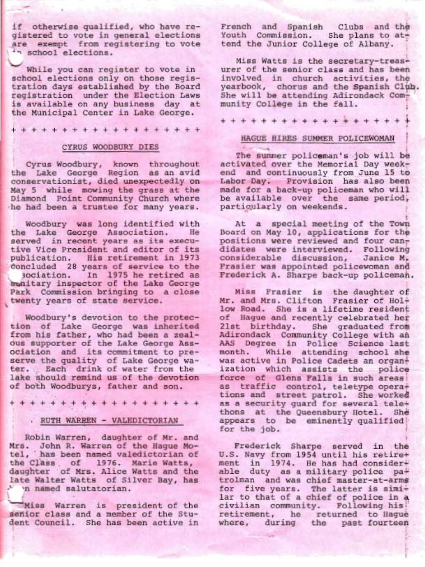if otherwise qualified, who have registered to vote in general elections are exempt from registering to vote

While you can register to vote in<br>school elections only on those registration days established by the Board registration under the Election Laws is available on any business day at the Municipal Center in Lake George.

+++++++++++++++++++

#### CYRUS WOODBURY DIES

I Cyrus Woodbury, known throughout the Lake George Region as an avid conservationist, died unexpectedly on May 5 while mowing the grass at the Diamond Point Community Church where he had been a trustee for many years.

Woodbury was long identified with the Lake George Association. served in recent years as its executive Vice President and editor of its publication. His retirement in 1973 ioncluded 28 years of service to the In 1975 he retired as bunitary inspector of the Lake George Park Commission bringing to a close twenty years of state service.

Woodbury's devotion to the protec-<br>tion of Lake George was inherited from his father, who had been a zealous supporter of the Lake George Assciciatipn and its commitment to preserve the quality of Lake George water. . Each drink of water from the lake should remind us of the devotion of both Woodburys, father and son.

1+ + + + + l.\* \* + + + + + + + + + +

#### . RUTH WARREN - VALEDICTORIAN

Robin Warren, daughter of Mr. and Mrs. John R. Warren of the Hague Mo-tel, has been named valedictorian of has been named valedictorian of the Class of 1976. Marie Watts, daughter of Mrs. Alice Watts and the late Walter Watts of Silver Bay, has 'n named salutatorian.

". /. Miss Warren is president of the senior class and a member of the Student Council. She has been active in French and Spanish Clubs and the Youth Commission. She plans to attend the Junior College of Albany.

Miss Watts is the secretary-treasurer of the senior class and has been involved in church activities, the yearbook, chorus and the Spanish Club. She will be attending Adirondack Community College in the fa1l. ;

++++++++++++++++++ + :

#### HAGUE HfRES SUMMER POLICEWOMAN

i -.a i

The summer policeman's job will be activated over the Memorial Day week-<br>end and continuously from June 15 to Labor Day. Provision has also been made for a back-up policeman who willbe available over the same period, particularly on weekends.

At a special meeting of the Town Board on May I0, applications for the positions were reviewed and four candidates were interviewed. Following<br>considerable discussion, Janice M. Frasier was appointed policewoman and Frederick A. Sharpe back-up policeman.

Miss Frasier is the daughter of Mr. and Mrs. Clifton Frasier of Hollow Road. She is a lifetime resident of Hague and recently celebrated her 21st birthday. She graduated from Adirondack Community College with an AAS Degree in Police Science last While attending school she was active in Police Cadets an organ+<br>ization which assists the police<br>force of Glens Falls in such areasi as traffic control, teletype opera+ tions and street patrol. She worked as a security guard for several tele+ thons at the Queensbury Hotel. She appears to be eminently qualified for the job.

Frederick Sharpe served in the U.S. Navy from 1954 until his retire+ ment in 1974. He has had considerable duty as a military police pa+<br>trolman and was chief master-at-arms for five years. The latter is simi= lar to that of a chief of police in a civilian community. Following his! retirement, he returned to Hague where, during the past fourteen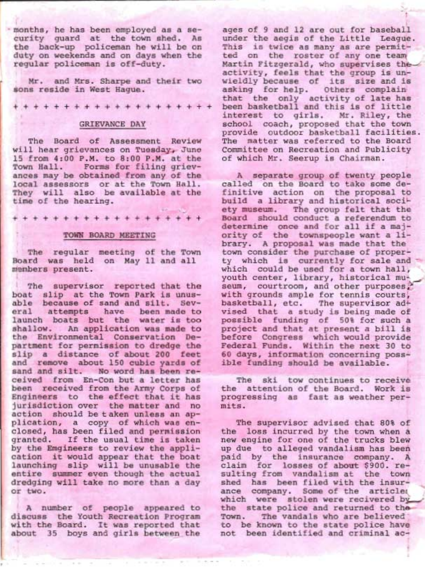months, he has been employed as a security guard at the town shed. As the back-up policeman he will be on duty on weekends and on days when the regular policeman is off-duty.

Mr. and Mrs. Sharpe and their two sons reside in West Hague.

\*\*\*+++++++++++++++++

#### GRIEVANCE DAY

The Board of Assessment Review<br>will hear grievances on Tuesday, June 15 from 4:00 P.M. to 8:00 P.M. at the Town Hall. Forms for filing griev-<br>ances may be obtained from any of the local assessors or at the Town Hall.<br>They will also be available at the<br>time of the hearing.

+ + + + + + + + + + + + + + +-+ +"+ +

#### . TOWN BOARD MEETING

' The regular meeting of the Town Board was held on May 11 and all members present.

The supervisor reported that the<br>boat slip at the Town Park is unus-<br>able because of sand and silt. Sev-<br>eral attempts have been made to<br>launch boats but the water is too<br>shallow. An application was made to<br>the Environment partment for permission to dredge the<br>sip a distance of about 200 feet<br>sip a distance of about 200 feet<br>and remove about 150 cubic yards of<br>sand and silt. No word has been re-<br>ceived from En-Con but a letter has<br>been recei entire summer even though the actual<br>dredging will take no more than a day<br>or two.

A number of people appeared to discuss the Youth Recreation Program with the Board. It was reported that about 35 boys and girls between the

ages of 9 and 12 are out for baseball<br>under the aegis of the Little League.<br>This is twice as many as are permit-<br>ted on the roster of any one team<br>Martin Fitzgerald, who supervises the<br>activity, feels that the group is unthat the only activity of late has<br>been basketball and this is of little<br>interest to girls. Mr. Riley, the<br>school coach, proposed that the town<br>provide outdoor basketball facilities.<br>The matter was referred to the Board Committee on Recreation and Publicity of which Mr. Seerup is Chairman.

A separate group of twenty people called on the Board to take some de-<br>finitive action on the proposal to<br>build a library and historical soci-<br>ety museum. The group felt that the Board should conduct a referendum to determine once and for all if a maj-<br>ority of the townspeople want a li-<br>brary. A proposal was made that the<br>town consider the purchase of property which is currently for sale and<br>which could be used for a town hall,<br>youth center, library, historical museum, courtroom, and other purposes,<br>with grounds ample for tennis courts,<br>basketball, etc. The supervisor ad-<br>vised that a study is being made of<br>possible funding of 50% for such a<br>project and that at present a bill is<br>be 60 days, information concerning poss- ible funding should be available.

The ski tow continues to receive the attention of the Board. Work is progressing as fast as weather per-mits.

The supervisor advised that 80% of<br>the loss incurred by the town when a new engine for one of the trucks blew<br>up due to alleged vandalism has been paid by the insurance company. A<br>claim for losses of about \$900. re-<br>sulting from vandalism at the town<br>shed has been filed with the insur-<br>ance company. Some of the articles which were stolen were recivered by<br>the state police and returned to the-<br>Town. The vandals who are believed<br>to be known to the state police have<br>not been identified and criminal ac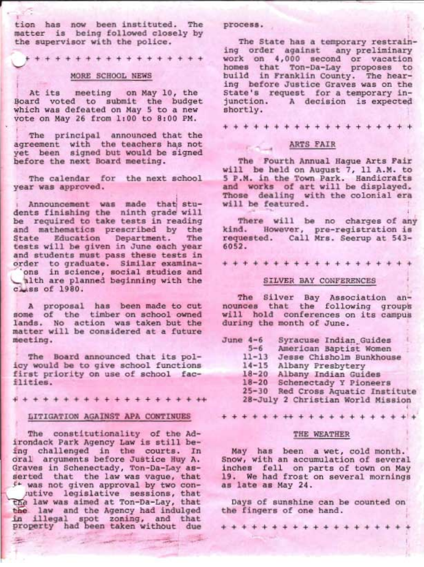tion has now been instituted. The matter is being followed closely by the supervisor with the police.

++++++++++++++++++

#### MORE SCHOOL NEWS

At its meeting on May 10, the Board voted to submit the budget which was defeated on May 5 to a new vote on May 26 from 1:00 to 8:00 PM.

The principal announced that the agreement with the teachers has not<br>yet been signed but would be signed<br>before the next Board meeting.

The calendar for the next school year was approved.

announcement was made that stu-<br>dents finishing the ninth grade will be required to take tests in reading<br>and mathematics prescribed by the State Education Department. The<br>tests will be given in June each year<br>and students must pass these tests in<br>order to graduate. Similar examina-<br>'ons in science, social studies and alth are planned beginning with the  $C<sub>MSB</sub>$  of 1980.

A proposal has been made to cut some of the timber on school owned Iands. No action was taken but the matter will be considered at a future meeting.

The Board announced that its pol-<br>icy would be to give school functions<br>first priority on use of school fac-<br>ilities.

++++++++++++++++++++

#### ITTIGATION AGAINST APA CONTINUES

The constitutionality of the Ad-<br>irondack Park Agency Law is still be-<br>ing challenged in the courts. In<br>oral arguments before Justice Huy A.<br>Graves in Schenectady, Ton-Da-Lay asserted that the law was vague, that<br>if was not given approval by two con-<br>utive legislative sessions, that<br>the law was aimed at Ton-Da-Lay, that<br>the law and the Agency had indulged<br>in illegal spot zoning, and that<br>property

#### process.

The State has a temporary restrain-<br>ing order against any preliminary<br>work on 4,000 second or vacation<br>homes that Ton-Da-Lay proposes to<br>build in Franklin County. The hear-<br>ing before Justice Graves was on the<br>State's requ

+++++++++++++++++++

#### ARTS FAIR

The Fourth Annual Hague Arts Fair<br>will be held on August 7, 11 A.M. to 5 P.M. in the Town Park. Handicrafts and works of art will be displayed. Those dealing with the colonial era will be featured .: , i

There will be no charges of any kind. However, pre-registration is requested. Call Mrs. Seerup at 543- 6052.

+++++++++++++++++++

#### SILVER BAY CONFERENCES

The Silver Bay Association announces that the following groups<br>will hold conferences on its campus<br>during the month of June.

| June $4-6$ | Syracuse Indian Guides            |
|------------|-----------------------------------|
| $5 - 6$    | American Baptist Women            |
| $11 - 13$  | Jesse Chisholm Bunkhouse          |
| $14 - 15$  | Albany Presbytery                 |
| $18 - 20$  | Albany Indian Guides              |
|            | 18-20 Schenectady Y Pioneers      |
| $25 - 30$  | Red Cross Aquatic Institute       |
|            | 28-July 2 Christian World Mission |

+ + + + + + ++ + + + + + + + + + + +:+

#### THE WEATHER

May has been a wet, cold month.'<br>Snow, with an accumulation of several inches fell on parts of town on May<br>19. We had frost on several mornings<br>as late as May 24.

Days of sunshine can be counted on<br>the fingers of one hand.

+++++++++++++++++++